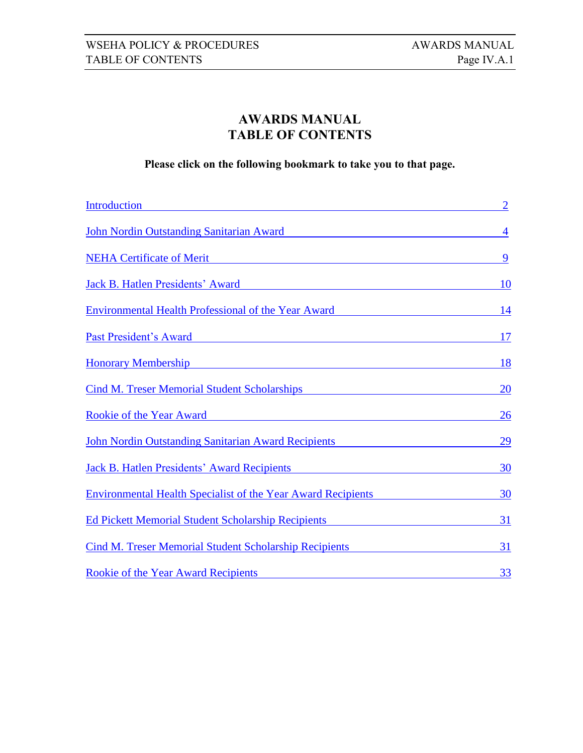# **AWARDS MANUAL TABLE OF CONTENTS**

<span id="page-0-0"></span>**Please click on the following bookmark to take you to that page.**

| <b>Introduction</b>                                                 | $\overline{2}$ |
|---------------------------------------------------------------------|----------------|
| John Nordin Outstanding Sanitarian Award                            | $\overline{4}$ |
| <b>NEHA Certificate of Merit</b>                                    | 9              |
| Jack B. Hatlen Presidents' Award                                    | 10             |
| <b>Environmental Health Professional of the Year Award</b>          | 14             |
| Past President's Award                                              | 17             |
| <b>Honorary Membership</b>                                          | <u>18</u>      |
| <b>Cind M. Treser Memorial Student Scholarships</b>                 | 20             |
| <b>Rookie of the Year Award</b>                                     | 26             |
| John Nordin Outstanding Sanitarian Award Recipients                 | 29             |
| <b>Jack B. Hatlen Presidents' Award Recipients</b>                  | 30             |
| <b>Environmental Health Specialist of the Year Award Recipients</b> | 30             |
| <b>Ed Pickett Memorial Student Scholarship Recipients</b>           | 31             |
| <b>Cind M. Treser Memorial Student Scholarship Recipients</b>       | 31             |
| Rookie of the Year Award Recipients                                 | 33             |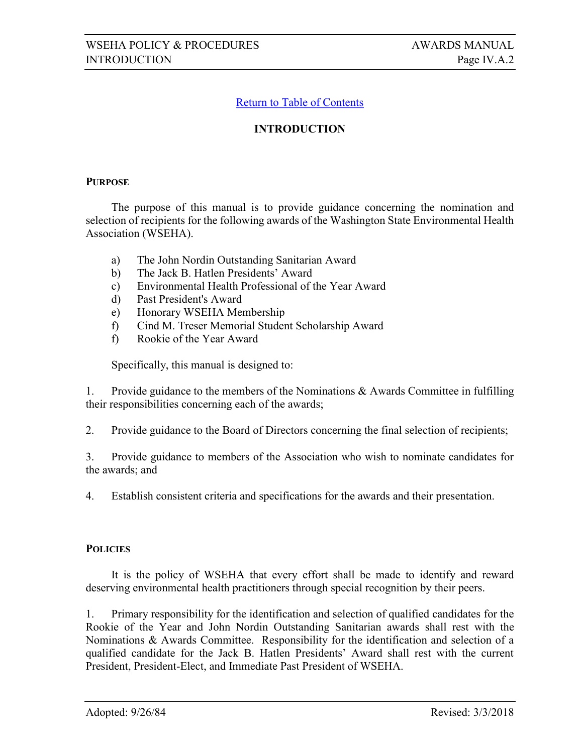## **INTRODUCTION**

#### **PURPOSE**

The purpose of this manual is to provide guidance concerning the nomination and selection of recipients for the following awards of the Washington State Environmental Health Association (WSEHA).

- a) The John Nordin Outstanding Sanitarian Award
- b) The Jack B. Hatlen Presidents' Award
- c) Environmental Health Professional of the Year Award
- d) Past President's Award
- e) Honorary WSEHA Membership
- f) Cind M. Treser Memorial Student Scholarship Award
- f) Rookie of the Year Award

Specifically, this manual is designed to:

1. Provide guidance to the members of the Nominations & Awards Committee in fulfilling their responsibilities concerning each of the awards;

2. Provide guidance to the Board of Directors concerning the final selection of recipients;

3. Provide guidance to members of the Association who wish to nominate candidates for the awards; and

4. Establish consistent criteria and specifications for the awards and their presentation.

#### **POLICIES**

It is the policy of WSEHA that every effort shall be made to identify and reward deserving environmental health practitioners through special recognition by their peers.

1. Primary responsibility for the identification and selection of qualified candidates for the Rookie of the Year and John Nordin Outstanding Sanitarian awards shall rest with the Nominations & Awards Committee. Responsibility for the identification and selection of a qualified candidate for the Jack B. Hatlen Presidents' Award shall rest with the current President, President-Elect, and Immediate Past President of WSEHA.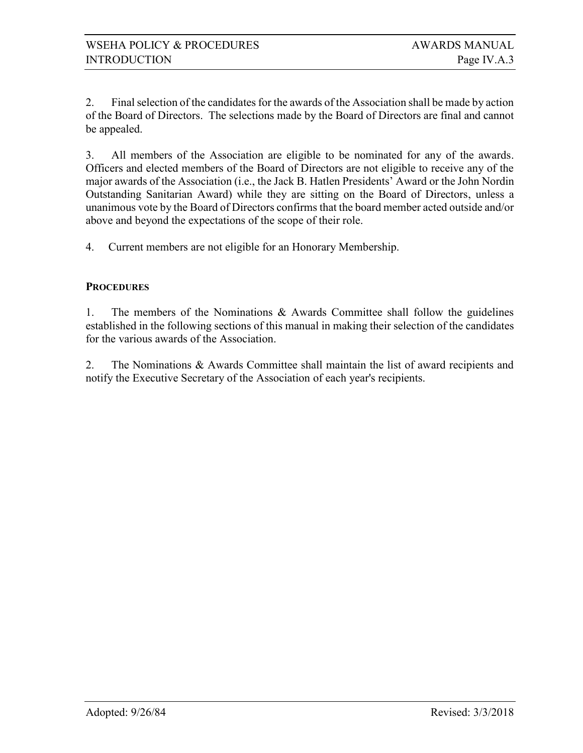2. Final selection of the candidates for the awards of the Association shall be made by action of the Board of Directors. The selections made by the Board of Directors are final and cannot be appealed.

3. All members of the Association are eligible to be nominated for any of the awards. Officers and elected members of the Board of Directors are not eligible to receive any of the major awards of the Association (i.e., the Jack B. Hatlen Presidents' Award or the John Nordin Outstanding Sanitarian Award) while they are sitting on the Board of Directors, unless a unanimous vote by the Board of Directors confirms that the board member acted outside and/or above and beyond the expectations of the scope of their role.

4. Current members are not eligible for an Honorary Membership.

### **PROCEDURES**

1. The members of the Nominations & Awards Committee shall follow the guidelines established in the following sections of this manual in making their selection of the candidates for the various awards of the Association.

2. The Nominations & Awards Committee shall maintain the list of award recipients and notify the Executive Secretary of the Association of each year's recipients.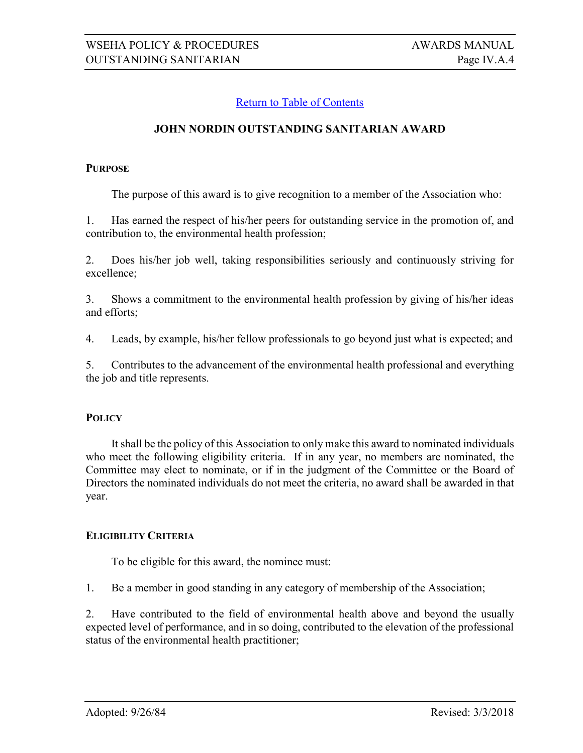### <span id="page-3-0"></span>**JOHN NORDIN OUTSTANDING SANITARIAN AWARD**

#### **PURPOSE**

The purpose of this award is to give recognition to a member of the Association who:

1. Has earned the respect of his/her peers for outstanding service in the promotion of, and contribution to, the environmental health profession;

2. Does his/her job well, taking responsibilities seriously and continuously striving for excellence;

3. Shows a commitment to the environmental health profession by giving of his/her ideas and efforts;

4. Leads, by example, his/her fellow professionals to go beyond just what is expected; and

5. Contributes to the advancement of the environmental health professional and everything the job and title represents.

#### **POLICY**

It shall be the policy of this Association to only make this award to nominated individuals who meet the following eligibility criteria. If in any year, no members are nominated, the Committee may elect to nominate, or if in the judgment of the Committee or the Board of Directors the nominated individuals do not meet the criteria, no award shall be awarded in that year.

#### **ELIGIBILITY CRITERIA**

To be eligible for this award, the nominee must:

1. Be a member in good standing in any category of membership of the Association;

2. Have contributed to the field of environmental health above and beyond the usually expected level of performance, and in so doing, contributed to the elevation of the professional status of the environmental health practitioner;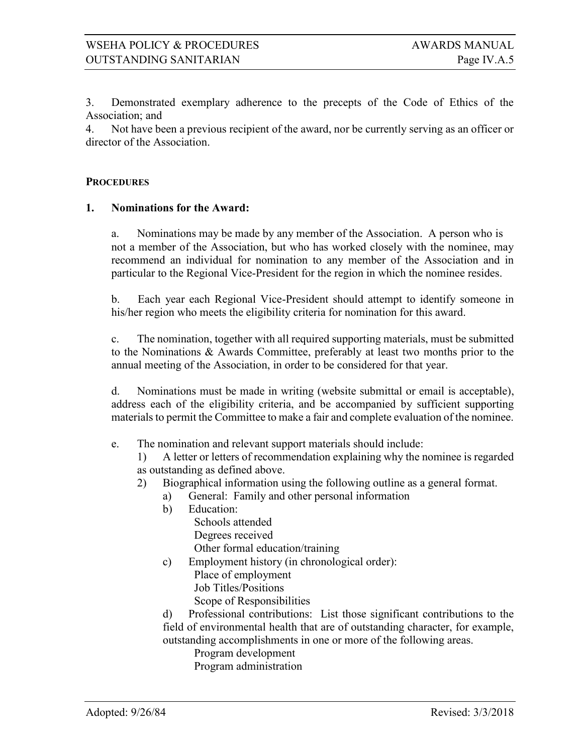3. Demonstrated exemplary adherence to the precepts of the Code of Ethics of the Association; and

4. Not have been a previous recipient of the award, nor be currently serving as an officer or director of the Association.

#### **PROCEDURES**

#### **1. Nominations for the Award:**

a. Nominations may be made by any member of the Association. A person who is not a member of the Association, but who has worked closely with the nominee, may recommend an individual for nomination to any member of the Association and in particular to the Regional Vice-President for the region in which the nominee resides.

b. Each year each Regional Vice-President should attempt to identify someone in his/her region who meets the eligibility criteria for nomination for this award.

c. The nomination, together with all required supporting materials, must be submitted to the Nominations & Awards Committee, preferably at least two months prior to the annual meeting of the Association, in order to be considered for that year.

d. Nominations must be made in writing (website submittal or email is acceptable), address each of the eligibility criteria, and be accompanied by sufficient supporting materials to permit the Committee to make a fair and complete evaluation of the nominee.

e. The nomination and relevant support materials should include:

1) A letter or letters of recommendation explaining why the nominee is regarded as outstanding as defined above.

- 2) Biographical information using the following outline as a general format.
	- a) General: Family and other personal information
	- b) Education: Schools attended Degrees received Other formal education/training c) Employment history (in chronological order):
	- Place of employment Job Titles/Positions Scope of Responsibilities

d) Professional contributions: List those significant contributions to the field of environmental health that are of outstanding character, for example, outstanding accomplishments in one or more of the following areas.

Program development

Program administration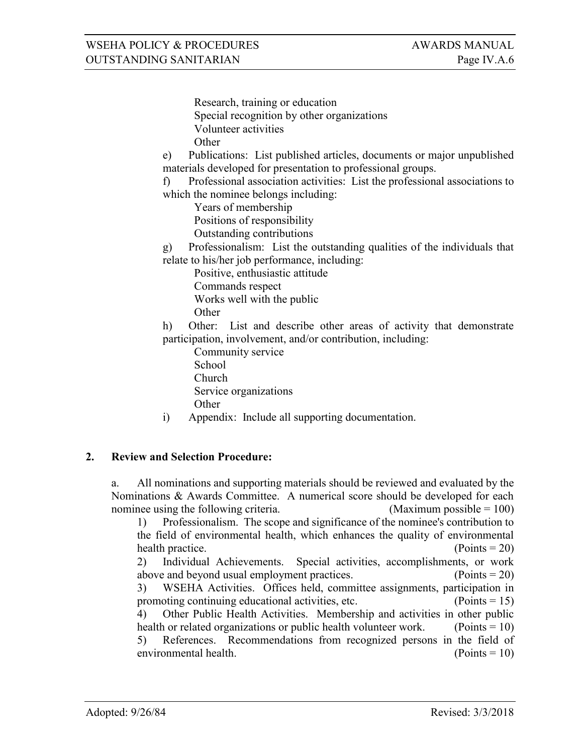Research, training or education Special recognition by other organizations Volunteer activities **Other** 

e) Publications: List published articles, documents or major unpublished materials developed for presentation to professional groups.

f) Professional association activities: List the professional associations to which the nominee belongs including:

Years of membership

Positions of responsibility

Outstanding contributions

g) Professionalism: List the outstanding qualities of the individuals that relate to his/her job performance, including:

 Positive, enthusiastic attitude Commands respect Works well with the public **Other** 

h) Other: List and describe other areas of activity that demonstrate participation, involvement, and/or contribution, including:

 Community service School Church Service organizations Other

i) Appendix: Include all supporting documentation.

# **2. Review and Selection Procedure:**

a. All nominations and supporting materials should be reviewed and evaluated by the Nominations & Awards Committee. A numerical score should be developed for each nominee using the following criteria.  $(Maximum possible = 100)$ 

1) Professionalism. The scope and significance of the nominee's contribution to the field of environmental health, which enhances the quality of environmental health practice. (Points = 20)

2) Individual Achievements. Special activities, accomplishments, or work above and beyond usual employment practices.  $(Points = 20)$ 3) WSEHA Activities. Offices held, committee assignments, participation in

promoting continuing educational activities, etc.  $(Points = 15)$ 

4) Other Public Health Activities. Membership and activities in other public health or related organizations or public health volunteer work. (Points  $= 10$ ) 5) References. Recommendations from recognized persons in the field of environmental health. (Points = 10)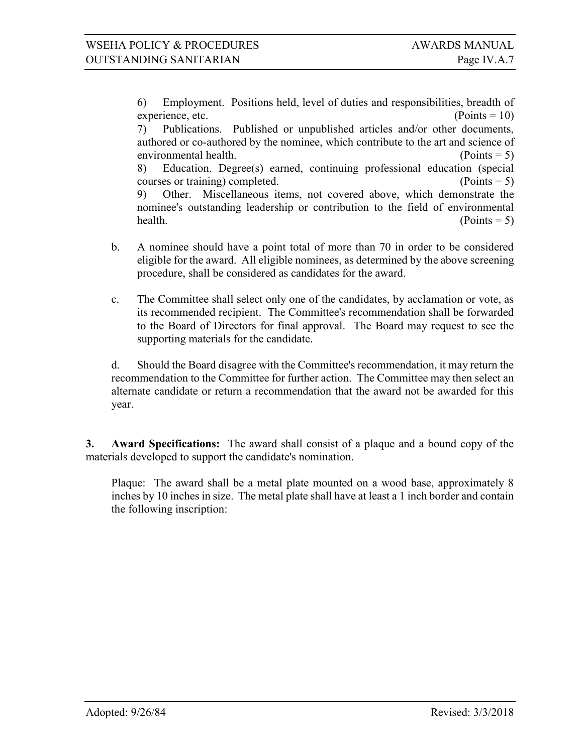6) Employment. Positions held, level of duties and responsibilities, breadth of experience, etc.  $(Points = 10)$ 7) Publications. Published or unpublished articles and/or other documents,

authored or co-authored by the nominee, which contribute to the art and science of environmental health. (Points = 5) 8) Education. Degree(s) earned, continuing professional education (special courses or training) completed. (Points = 5) 9) Other. Miscellaneous items, not covered above, which demonstrate the nominee's outstanding leadership or contribution to the field of environmental health.  $(Points = 5)$ 

- b. A nominee should have a point total of more than 70 in order to be considered eligible for the award. All eligible nominees, as determined by the above screening procedure, shall be considered as candidates for the award.
- c. The Committee shall select only one of the candidates, by acclamation or vote, as its recommended recipient. The Committee's recommendation shall be forwarded to the Board of Directors for final approval. The Board may request to see the supporting materials for the candidate.

d. Should the Board disagree with the Committee's recommendation, it may return the recommendation to the Committee for further action. The Committee may then select an alternate candidate or return a recommendation that the award not be awarded for this year.

**3. Award Specifications:** The award shall consist of a plaque and a bound copy of the materials developed to support the candidate's nomination.

Plaque: The award shall be a metal plate mounted on a wood base, approximately 8 inches by 10 inches in size. The metal plate shall have at least a 1 inch border and contain the following inscription: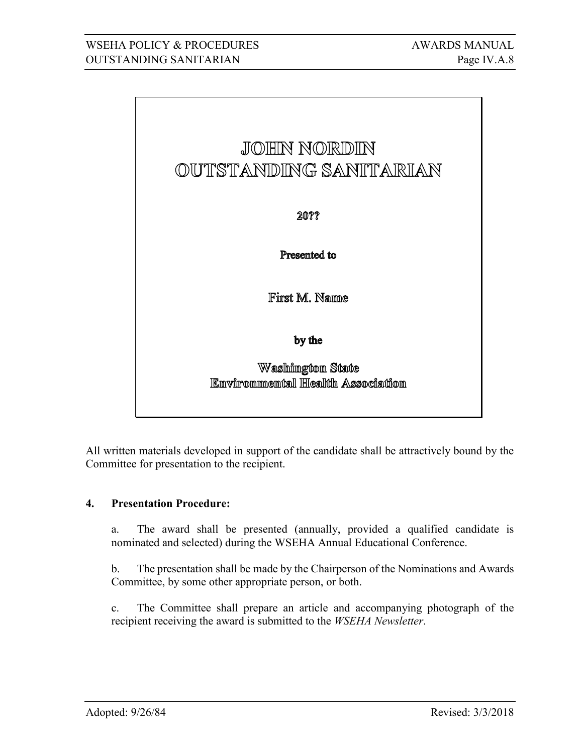

All written materials developed in support of the candidate shall be attractively bound by the Committee for presentation to the recipient.

# **4. Presentation Procedure:**

a. The award shall be presented (annually, provided a qualified candidate is nominated and selected) during the WSEHA Annual Educational Conference.

b. The presentation shall be made by the Chairperson of the Nominations and Awards Committee, by some other appropriate person, or both.

c. The Committee shall prepare an article and accompanying photograph of the recipient receiving the award is submitted to the *WSEHA Newsletter*.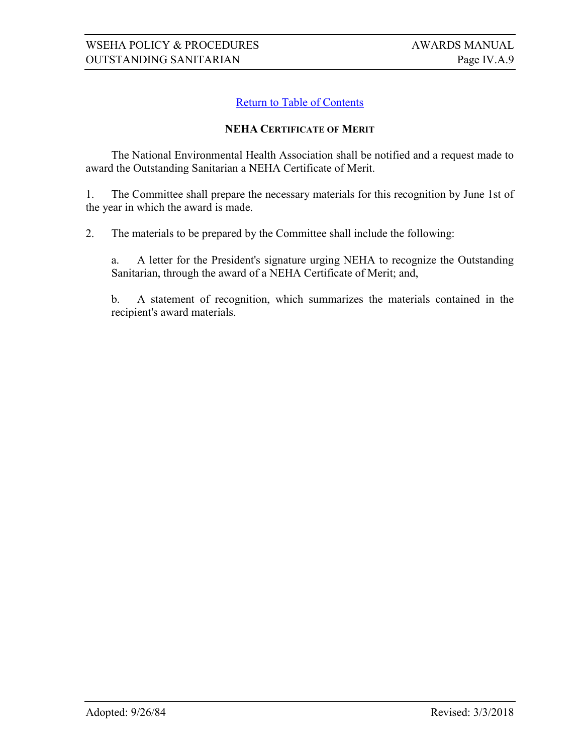#### <span id="page-8-0"></span>**NEHA CERTIFICATE OF MERIT**

The National Environmental Health Association shall be notified and a request made to award the Outstanding Sanitarian a NEHA Certificate of Merit.

1. The Committee shall prepare the necessary materials for this recognition by June 1st of the year in which the award is made.

2. The materials to be prepared by the Committee shall include the following:

a. A letter for the President's signature urging NEHA to recognize the Outstanding Sanitarian, through the award of a NEHA Certificate of Merit; and,

b. A statement of recognition, which summarizes the materials contained in the recipient's award materials.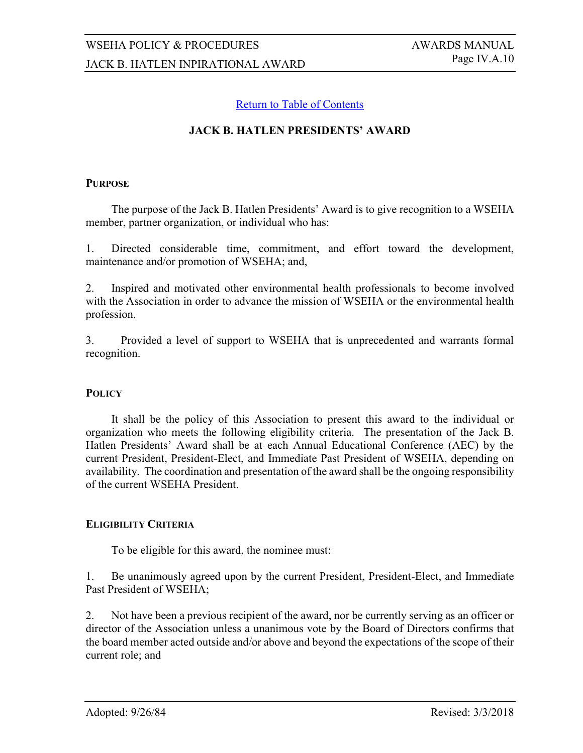### <span id="page-9-0"></span>**JACK B. HATLEN PRESIDENTS' AWARD**

#### **PURPOSE**

The purpose of the Jack B. Hatlen Presidents' Award is to give recognition to a WSEHA member, partner organization, or individual who has:

1. Directed considerable time, commitment, and effort toward the development, maintenance and/or promotion of WSEHA; and,

2. Inspired and motivated other environmental health professionals to become involved with the Association in order to advance the mission of WSEHA or the environmental health profession.

3. Provided a level of support to WSEHA that is unprecedented and warrants formal recognition.

#### **POLICY**

It shall be the policy of this Association to present this award to the individual or organization who meets the following eligibility criteria. The presentation of the Jack B. Hatlen Presidents' Award shall be at each Annual Educational Conference (AEC) by the current President, President-Elect, and Immediate Past President of WSEHA, depending on availability. The coordination and presentation of the award shall be the ongoing responsibility of the current WSEHA President.

#### **ELIGIBILITY CRITERIA**

To be eligible for this award, the nominee must:

1. Be unanimously agreed upon by the current President, President-Elect, and Immediate Past President of WSEHA;

2. Not have been a previous recipient of the award, nor be currently serving as an officer or director of the Association unless a unanimous vote by the Board of Directors confirms that the board member acted outside and/or above and beyond the expectations of the scope of their current role; and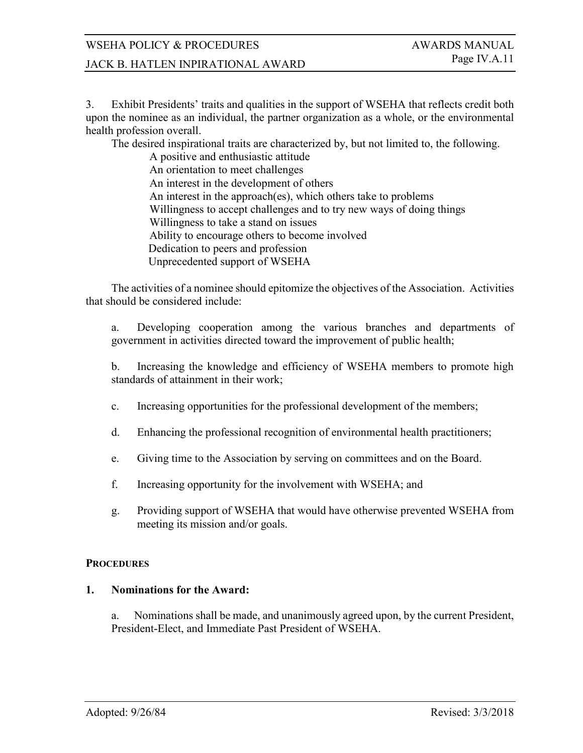# WSEHA POLICY & PROCEDURES AWARDS MANUAL

# JACK B. HATLEN INPIRATIONAL AWARD Page IV.A.11

3. Exhibit Presidents' traits and qualities in the support of WSEHA that reflects credit both upon the nominee as an individual, the partner organization as a whole, or the environmental health profession overall.

The desired inspirational traits are characterized by, but not limited to, the following.

A positive and enthusiastic attitude An orientation to meet challenges An interest in the development of others An interest in the approach(es), which others take to problems Willingness to accept challenges and to try new ways of doing things Willingness to take a stand on issues Ability to encourage others to become involved Dedication to peers and profession Unprecedented support of WSEHA

The activities of a nominee should epitomize the objectives of the Association. Activities that should be considered include:

a. Developing cooperation among the various branches and departments of government in activities directed toward the improvement of public health;

b. Increasing the knowledge and efficiency of WSEHA members to promote high standards of attainment in their work;

- c. Increasing opportunities for the professional development of the members;
- d. Enhancing the professional recognition of environmental health practitioners;
- e. Giving time to the Association by serving on committees and on the Board.
- f. Increasing opportunity for the involvement with WSEHA; and
- g. Providing support of WSEHA that would have otherwise prevented WSEHA from meeting its mission and/or goals.

#### **PROCEDURES**

#### **1. Nominations for the Award:**

a. Nominations shall be made, and unanimously agreed upon, by the current President, President-Elect, and Immediate Past President of WSEHA.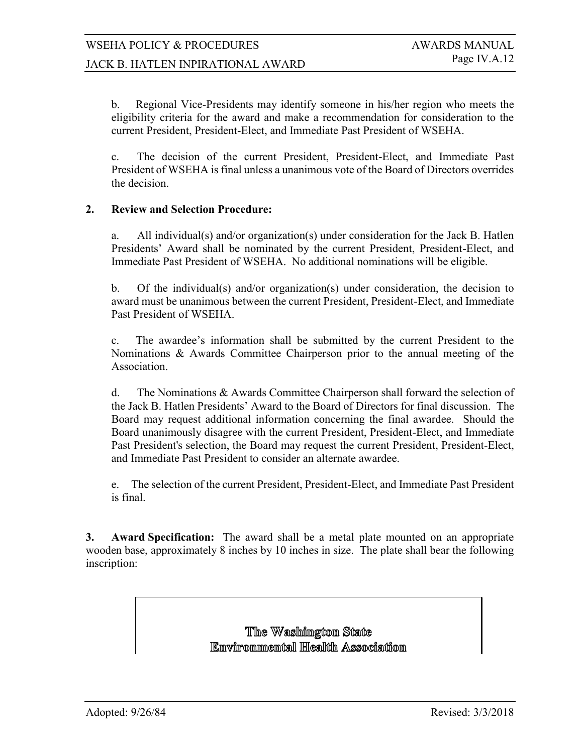b. Regional Vice-Presidents may identify someone in his/her region who meets the eligibility criteria for the award and make a recommendation for consideration to the current President, President-Elect, and Immediate Past President of WSEHA.

c. The decision of the current President, President-Elect, and Immediate Past President of WSEHA is final unless a unanimous vote of the Board of Directors overrides the decision.

### **2. Review and Selection Procedure:**

a. All individual(s) and/or organization(s) under consideration for the Jack B. Hatlen Presidents' Award shall be nominated by the current President, President-Elect, and Immediate Past President of WSEHA. No additional nominations will be eligible.

b. Of the individual(s) and/or organization(s) under consideration, the decision to award must be unanimous between the current President, President-Elect, and Immediate Past President of WSEHA.

c. The awardee's information shall be submitted by the current President to the Nominations & Awards Committee Chairperson prior to the annual meeting of the Association.

d. The Nominations & Awards Committee Chairperson shall forward the selection of the Jack B. Hatlen Presidents' Award to the Board of Directors for final discussion. The Board may request additional information concerning the final awardee. Should the Board unanimously disagree with the current President, President-Elect, and Immediate Past President's selection, the Board may request the current President, President-Elect, and Immediate Past President to consider an alternate awardee.

e. The selection of the current President, President-Elect, and Immediate Past President is final.

**3. Award Specification:** The award shall be a metal plate mounted on an appropriate wooden base, approximately 8 inches by 10 inches in size. The plate shall bear the following inscription:

> The Washimgton State Emyirommemtall Health Association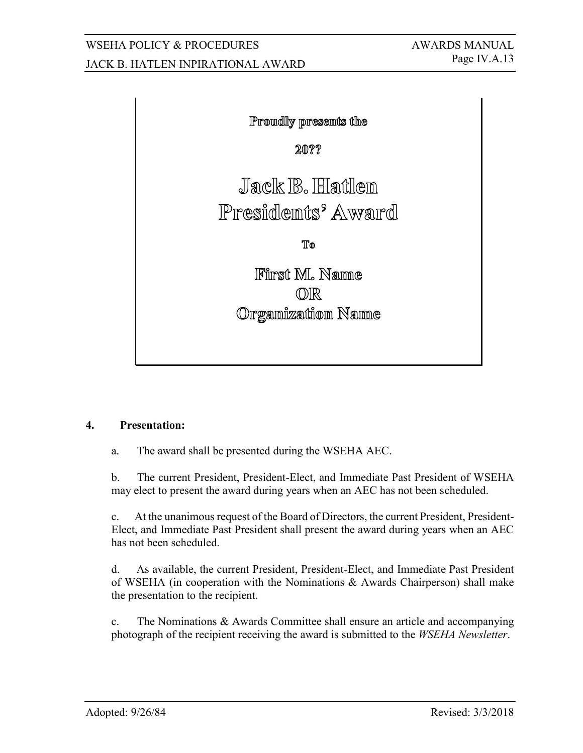# WSEHA POLICY & PROCEDURES AWARDS MANUAL JACK B. HATLEN INPIRATIONAL AWARD Page IV.A.13



## **4. Presentation:**

a. The award shall be presented during the WSEHA AEC.

b. The current President, President-Elect, and Immediate Past President of WSEHA may elect to present the award during years when an AEC has not been scheduled.

c. At the unanimous request of the Board of Directors, the current President, President-Elect, and Immediate Past President shall present the award during years when an AEC has not been scheduled.

d. As available, the current President, President-Elect, and Immediate Past President of WSEHA (in cooperation with the Nominations & Awards Chairperson) shall make the presentation to the recipient.

c. The Nominations & Awards Committee shall ensure an article and accompanying photograph of the recipient receiving the award is submitted to the *WSEHA Newsletter*.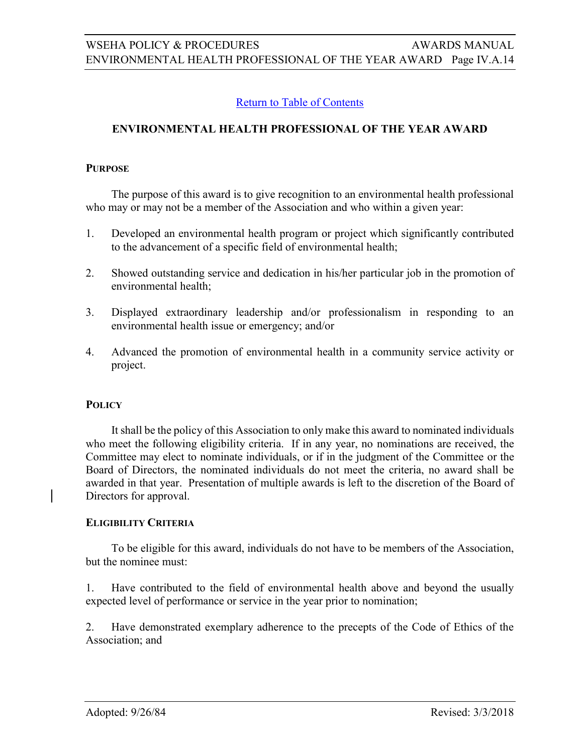# <span id="page-13-0"></span>**ENVIRONMENTAL HEALTH PROFESSIONAL OF THE YEAR AWARD**

#### **PURPOSE**

The purpose of this award is to give recognition to an environmental health professional who may or may not be a member of the Association and who within a given year:

- 1. Developed an environmental health program or project which significantly contributed to the advancement of a specific field of environmental health;
- 2. Showed outstanding service and dedication in his/her particular job in the promotion of environmental health;
- 3. Displayed extraordinary leadership and/or professionalism in responding to an environmental health issue or emergency; and/or
- 4. Advanced the promotion of environmental health in a community service activity or project.

#### **POLICY**

It shall be the policy of this Association to only make this award to nominated individuals who meet the following eligibility criteria. If in any year, no nominations are received, the Committee may elect to nominate individuals, or if in the judgment of the Committee or the Board of Directors, the nominated individuals do not meet the criteria, no award shall be awarded in that year. Presentation of multiple awards is left to the discretion of the Board of Directors for approval.

#### **ELIGIBILITY CRITERIA**

To be eligible for this award, individuals do not have to be members of the Association, but the nominee must:

1. Have contributed to the field of environmental health above and beyond the usually expected level of performance or service in the year prior to nomination;

2. Have demonstrated exemplary adherence to the precepts of the Code of Ethics of the Association; and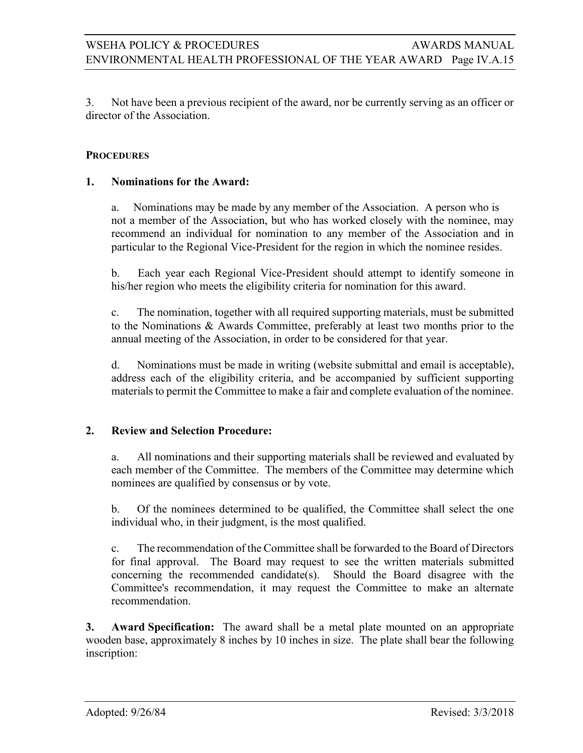3. Not have been a previous recipient of the award, nor be currently serving as an officer or director of the Association.

### **PROCEDURES**

#### **1. Nominations for the Award:**

a. Nominations may be made by any member of the Association. A person who is not a member of the Association, but who has worked closely with the nominee, may recommend an individual for nomination to any member of the Association and in particular to the Regional Vice-President for the region in which the nominee resides.

b. Each year each Regional Vice-President should attempt to identify someone in his/her region who meets the eligibility criteria for nomination for this award.

c. The nomination, together with all required supporting materials, must be submitted to the Nominations & Awards Committee, preferably at least two months prior to the annual meeting of the Association, in order to be considered for that year.

d. Nominations must be made in writing (website submittal and email is acceptable), address each of the eligibility criteria, and be accompanied by sufficient supporting materials to permit the Committee to make a fair and complete evaluation of the nominee.

#### **2. Review and Selection Procedure:**

a. All nominations and their supporting materials shall be reviewed and evaluated by each member of the Committee. The members of the Committee may determine which nominees are qualified by consensus or by vote.

b. Of the nominees determined to be qualified, the Committee shall select the one individual who, in their judgment, is the most qualified.

c. The recommendation of the Committee shall be forwarded to the Board of Directors for final approval. The Board may request to see the written materials submitted concerning the recommended candidate(s). Should the Board disagree with the Committee's recommendation, it may request the Committee to make an alternate recommendation.

**3. Award Specification:** The award shall be a metal plate mounted on an appropriate wooden base, approximately 8 inches by 10 inches in size. The plate shall bear the following inscription: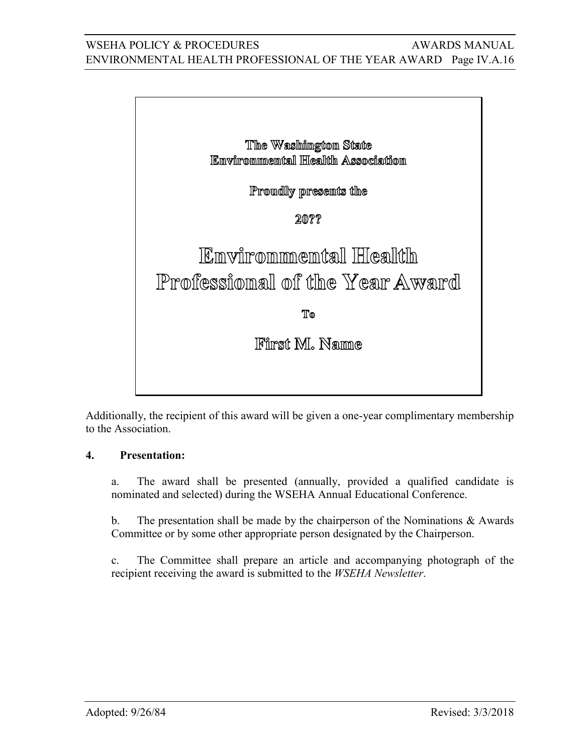# WSEHA POLICY & PROCEDURES AWARDS MANUAL ENVIRONMENTAL HEALTH PROFESSIONAL OF THE YEAR AWARD Page IV.A.16



Additionally, the recipient of this award will be given a one-year complimentary membership to the Association.

# **4. Presentation:**

a. The award shall be presented (annually, provided a qualified candidate is nominated and selected) during the WSEHA Annual Educational Conference.

b. The presentation shall be made by the chairperson of the Nominations  $\&$  Awards Committee or by some other appropriate person designated by the Chairperson.

c. The Committee shall prepare an article and accompanying photograph of the recipient receiving the award is submitted to the *WSEHA Newsletter*.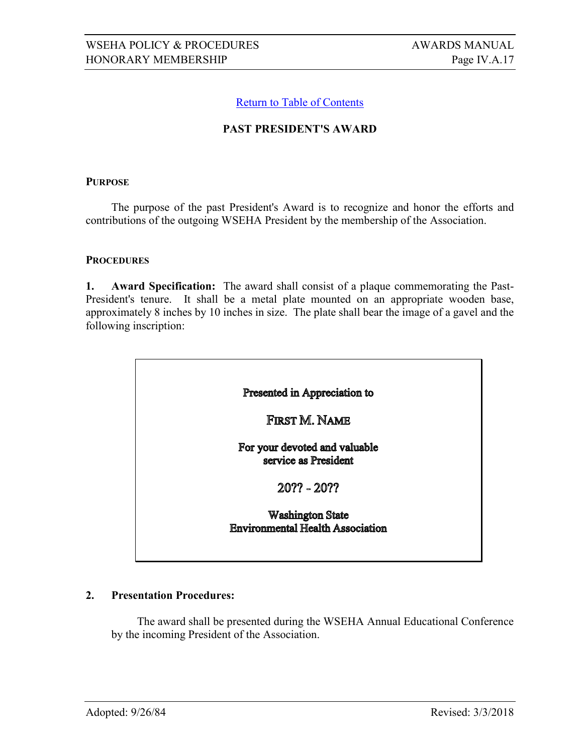# <span id="page-16-0"></span>**PAST PRESIDENT'S AWARD**

#### **PURPOSE**

The purpose of the past President's Award is to recognize and honor the efforts and contributions of the outgoing WSEHA President by the membership of the Association.

#### **PROCEDURES**

**1. Award Specification:** The award shall consist of a plaque commemorating the Past-President's tenure. It shall be a metal plate mounted on an appropriate wooden base, approximately 8 inches by 10 inches in size. The plate shall bear the image of a gavel and the following inscription:



#### **2. Presentation Procedures:**

The award shall be presented during the WSEHA Annual Educational Conference by the incoming President of the Association.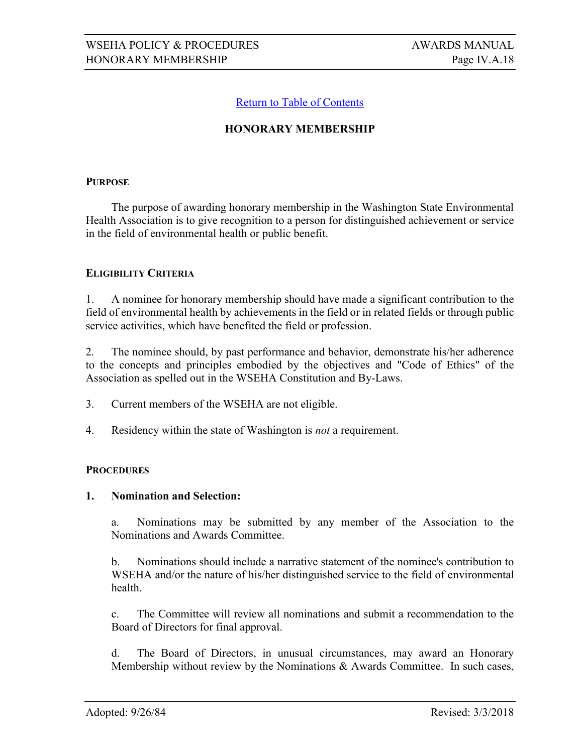## <span id="page-17-0"></span>**HONORARY MEMBERSHIP**

#### **PURPOSE**

The purpose of awarding honorary membership in the Washington State Environmental Health Association is to give recognition to a person for distinguished achievement or service in the field of environmental health or public benefit.

#### **ELIGIBILITY CRITERIA**

1. A nominee for honorary membership should have made a significant contribution to the field of environmental health by achievements in the field or in related fields or through public service activities, which have benefited the field or profession.

2. The nominee should, by past performance and behavior, demonstrate his/her adherence to the concepts and principles embodied by the objectives and "Code of Ethics" of the Association as spelled out in the WSEHA Constitution and By-Laws.

- 3. Current members of the WSEHA are not eligible.
- 4. Residency within the state of Washington is *not* a requirement.

#### **PROCEDURES**

#### **1. Nomination and Selection:**

a. Nominations may be submitted by any member of the Association to the Nominations and Awards Committee.

b. Nominations should include a narrative statement of the nominee's contribution to WSEHA and/or the nature of his/her distinguished service to the field of environmental health.

c. The Committee will review all nominations and submit a recommendation to the Board of Directors for final approval.

d. The Board of Directors, in unusual circumstances, may award an Honorary Membership without review by the Nominations & Awards Committee. In such cases,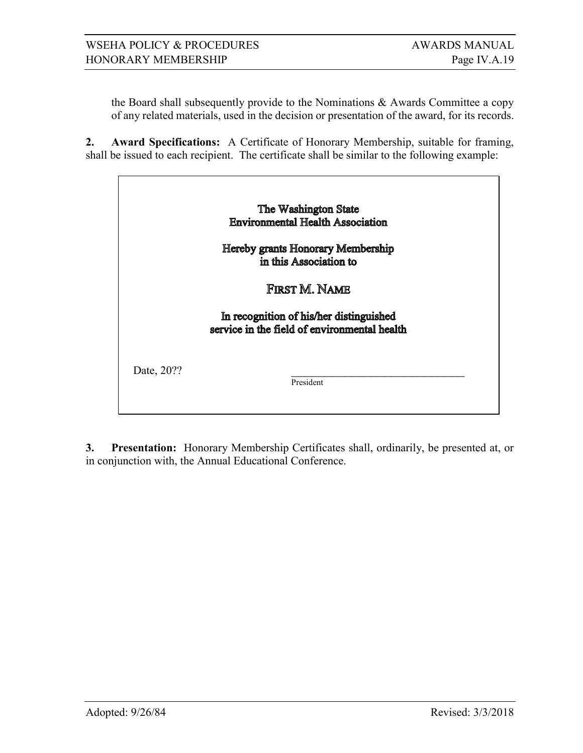the Board shall subsequently provide to the Nominations & Awards Committee a copy of any related materials, used in the decision or presentation of the award, for its records.

**2. Award Specifications:** A Certificate of Honorary Membership, suitable for framing, shall be issued to each recipient. The certificate shall be similar to the following example:

|            | The Washington State                                                                    |
|------------|-----------------------------------------------------------------------------------------|
|            | <b>Environmental Health Association</b>                                                 |
|            | Hereby grants Honorary Membership<br>in this Association to                             |
|            | First M. Name                                                                           |
|            | In recognition of his/her distinguished<br>service in the field of environmental health |
| Date, 20?? | President                                                                               |

**3. Presentation:** Honorary Membership Certificates shall, ordinarily, be presented at, or in conjunction with, the Annual Educational Conference.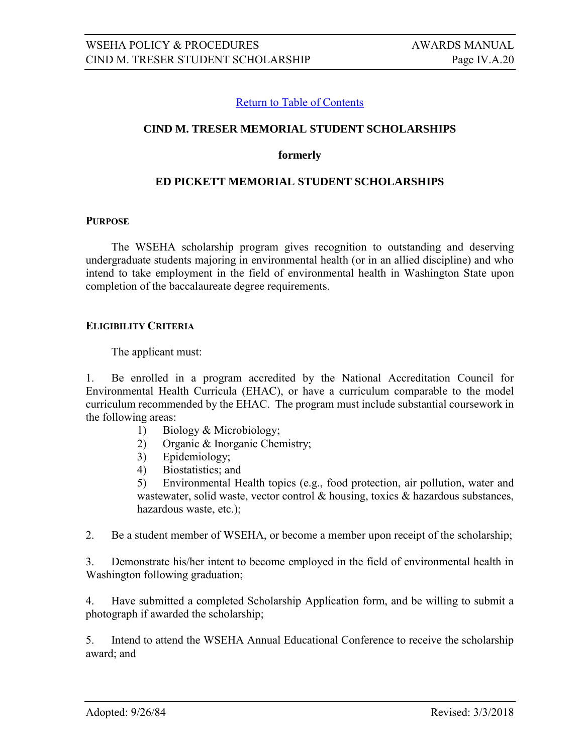#### **CIND M. TRESER MEMORIAL STUDENT SCHOLARSHIPS**

#### <span id="page-19-0"></span>**formerly**

#### **ED PICKETT MEMORIAL STUDENT SCHOLARSHIPS**

#### **PURPOSE**

The WSEHA scholarship program gives recognition to outstanding and deserving undergraduate students majoring in environmental health (or in an allied discipline) and who intend to take employment in the field of environmental health in Washington State upon completion of the baccalaureate degree requirements.

#### **ELIGIBILITY CRITERIA**

The applicant must:

1. Be enrolled in a program accredited by the National Accreditation Council for Environmental Health Curricula (EHAC), or have a curriculum comparable to the model curriculum recommended by the EHAC. The program must include substantial coursework in the following areas:

- 1) Biology & Microbiology;
- 2) Organic & Inorganic Chemistry;
- 3) Epidemiology;
- 4) Biostatistics; and

5) Environmental Health topics (e.g., food protection, air pollution, water and wastewater, solid waste, vector control  $\&$  housing, toxics  $\&$  hazardous substances, hazardous waste, etc.);

2. Be a student member of WSEHA, or become a member upon receipt of the scholarship;

3. Demonstrate his/her intent to become employed in the field of environmental health in Washington following graduation;

4. Have submitted a completed Scholarship Application form, and be willing to submit a photograph if awarded the scholarship;

5. Intend to attend the WSEHA Annual Educational Conference to receive the scholarship award; and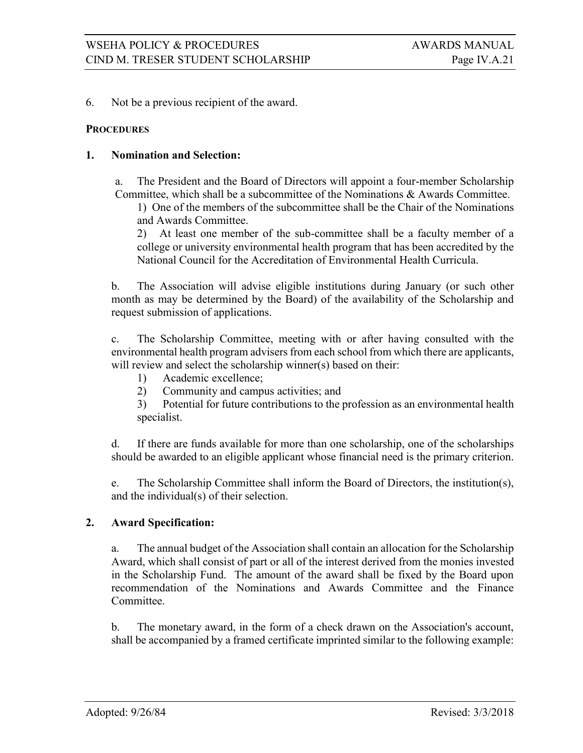#### 6. Not be a previous recipient of the award.

#### **PROCEDURES**

#### **1. Nomination and Selection:**

a. The President and the Board of Directors will appoint a four-member Scholarship Committee, which shall be a subcommittee of the Nominations & Awards Committee.

1) One of the members of the subcommittee shall be the Chair of the Nominations and Awards Committee.

2) At least one member of the sub-committee shall be a faculty member of a college or university environmental health program that has been accredited by the National Council for the Accreditation of Environmental Health Curricula.

b. The Association will advise eligible institutions during January (or such other month as may be determined by the Board) of the availability of the Scholarship and request submission of applications.

c. The Scholarship Committee, meeting with or after having consulted with the environmental health program advisers from each school from which there are applicants, will review and select the scholarship winner(s) based on their:

- 1) Academic excellence;
- 2) Community and campus activities; and

3) Potential for future contributions to the profession as an environmental health specialist.

d. If there are funds available for more than one scholarship, one of the scholarships should be awarded to an eligible applicant whose financial need is the primary criterion.

e. The Scholarship Committee shall inform the Board of Directors, the institution(s), and the individual(s) of their selection.

#### **2. Award Specification:**

a. The annual budget of the Association shall contain an allocation for the Scholarship Award, which shall consist of part or all of the interest derived from the monies invested in the Scholarship Fund. The amount of the award shall be fixed by the Board upon recommendation of the Nominations and Awards Committee and the Finance Committee.

b. The monetary award, in the form of a check drawn on the Association's account, shall be accompanied by a framed certificate imprinted similar to the following example: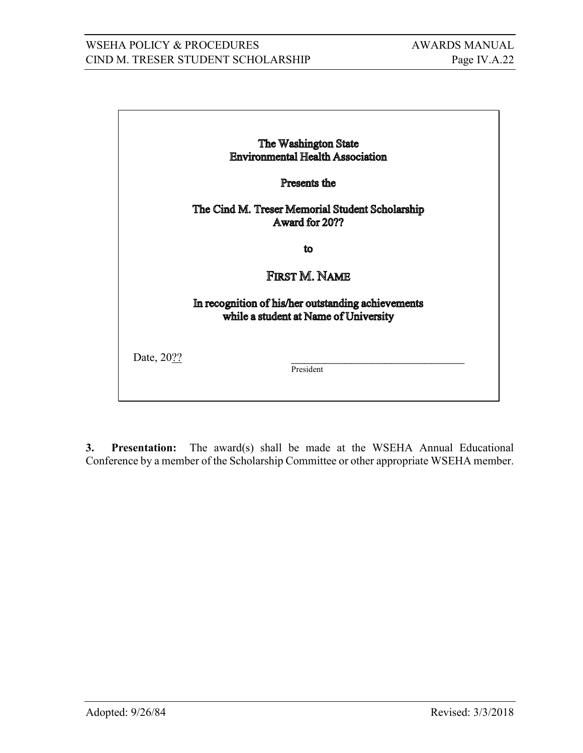# WSEHA POLICY & PROCEDURES AWARDS MANUAL CIND M. TRESER STUDENT SCHOLARSHIP Page IV.A.22

|            | The Washington State                                                                        |
|------------|---------------------------------------------------------------------------------------------|
|            | <b>Environmental Health Association</b>                                                     |
|            | Presents the                                                                                |
|            | The Cind M. Treser Memorial Student Scholarship<br>Award for 20??                           |
|            | íω                                                                                          |
|            | First M. Name                                                                               |
|            | In recognition of his/her outstanding achievements<br>while a student at Name of University |
| Date, 20?? | President                                                                                   |
|            |                                                                                             |

**3. Presentation:** The award(s) shall be made at the WSEHA Annual Educational Conference by a member of the Scholarship Committee or other appropriate WSEHA member.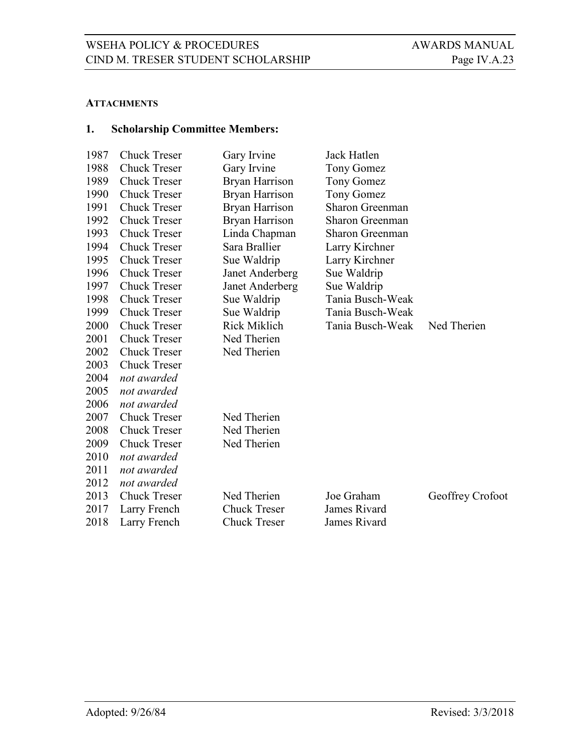#### **ATTACHMENTS**

# **1. Scholarship Committee Members:**

| 1987 | <b>Chuck Treser</b> | Gary Irvine         | Jack Hatlen            |                  |
|------|---------------------|---------------------|------------------------|------------------|
| 1988 | <b>Chuck Treser</b> | Gary Irvine         | Tony Gomez             |                  |
| 1989 | <b>Chuck Treser</b> | Bryan Harrison      | Tony Gomez             |                  |
| 1990 | <b>Chuck Treser</b> | Bryan Harrison      | Tony Gomez             |                  |
| 1991 | <b>Chuck Treser</b> | Bryan Harrison      | <b>Sharon Greenman</b> |                  |
| 1992 | <b>Chuck Treser</b> | Bryan Harrison      | <b>Sharon Greenman</b> |                  |
| 1993 | <b>Chuck Treser</b> | Linda Chapman       | <b>Sharon Greenman</b> |                  |
| 1994 | <b>Chuck Treser</b> | Sara Brallier       | Larry Kirchner         |                  |
| 1995 | <b>Chuck Treser</b> | Sue Waldrip         | Larry Kirchner         |                  |
| 1996 | <b>Chuck Treser</b> | Janet Anderberg     | Sue Waldrip            |                  |
| 1997 | <b>Chuck Treser</b> | Janet Anderberg     | Sue Waldrip            |                  |
| 1998 | <b>Chuck Treser</b> | Sue Waldrip         | Tania Busch-Weak       |                  |
| 1999 | <b>Chuck Treser</b> | Sue Waldrip         | Tania Busch-Weak       |                  |
| 2000 | <b>Chuck Treser</b> | <b>Rick Miklich</b> | Tania Busch-Weak       | Ned Therien      |
| 2001 | <b>Chuck Treser</b> | Ned Therien         |                        |                  |
| 2002 | <b>Chuck Treser</b> | Ned Therien         |                        |                  |
| 2003 | <b>Chuck Treser</b> |                     |                        |                  |
| 2004 | not awarded         |                     |                        |                  |
| 2005 | not awarded         |                     |                        |                  |
| 2006 | not awarded         |                     |                        |                  |
| 2007 | <b>Chuck Treser</b> | Ned Therien         |                        |                  |
| 2008 | <b>Chuck Treser</b> | Ned Therien         |                        |                  |
| 2009 | <b>Chuck Treser</b> | Ned Therien         |                        |                  |
| 2010 | not awarded         |                     |                        |                  |
| 2011 | not awarded         |                     |                        |                  |
| 2012 | not awarded         |                     |                        |                  |
| 2013 | <b>Chuck Treser</b> | Ned Therien         | Joe Graham             | Geoffrey Crofoot |
| 2017 | Larry French        | <b>Chuck Treser</b> | James Rivard           |                  |
| 2018 | Larry French        | <b>Chuck Treser</b> | James Rivard           |                  |
|      |                     |                     |                        |                  |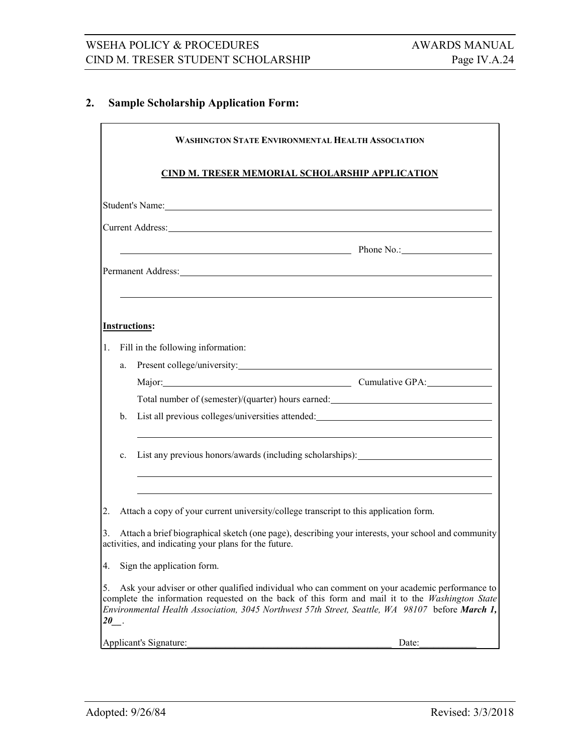# **2. Sample Scholarship Application Form:**

|           | <b>WASHINGTON STATE ENVIRONMENTAL HEALTH ASSOCIATION</b> |                                                                                                                                                                                                                                                                                                      |  |  |  |
|-----------|----------------------------------------------------------|------------------------------------------------------------------------------------------------------------------------------------------------------------------------------------------------------------------------------------------------------------------------------------------------------|--|--|--|
|           | CIND M. TRESER MEMORIAL SCHOLARSHIP APPLICATION          |                                                                                                                                                                                                                                                                                                      |  |  |  |
|           |                                                          |                                                                                                                                                                                                                                                                                                      |  |  |  |
|           |                                                          | Current Address: New York 2018 19:00 19:00 19:00 19:00 19:00 19:00 19:00 19:00 19:00 19:00 19:00 19:00 19:00 1                                                                                                                                                                                       |  |  |  |
|           |                                                          | Phone No.: Phone No.:                                                                                                                                                                                                                                                                                |  |  |  |
|           |                                                          | Permanent Address:                                                                                                                                                                                                                                                                                   |  |  |  |
|           |                                                          |                                                                                                                                                                                                                                                                                                      |  |  |  |
|           |                                                          | <b>Instructions:</b>                                                                                                                                                                                                                                                                                 |  |  |  |
| 1.        |                                                          | Fill in the following information:                                                                                                                                                                                                                                                                   |  |  |  |
|           | a.                                                       | Present college/university:                                                                                                                                                                                                                                                                          |  |  |  |
|           |                                                          | Major: Cumulative GPA:                                                                                                                                                                                                                                                                               |  |  |  |
|           |                                                          | Total number of (semester)/(quarter) hours earned:                                                                                                                                                                                                                                                   |  |  |  |
|           | b.                                                       | List all previous colleges/universities attended:                                                                                                                                                                                                                                                    |  |  |  |
|           | c.                                                       | List any previous honors/awards (including scholarships): ______________________<br><u> 1989 - John Stone, amerikansk politiker († 1908)</u>                                                                                                                                                         |  |  |  |
| 2.        |                                                          | Attach a copy of your current university/college transcript to this application form.                                                                                                                                                                                                                |  |  |  |
| 3.        |                                                          | Attach a brief biographical sketch (one page), describing your interests, your school and community<br>activities, and indicating your plans for the future.                                                                                                                                         |  |  |  |
| 4.        |                                                          | Sign the application form.                                                                                                                                                                                                                                                                           |  |  |  |
| 5.<br>20. |                                                          | Ask your adviser or other qualified individual who can comment on your academic performance to<br>complete the information requested on the back of this form and mail it to the Washington State<br>Environmental Health Association, 3045 Northwest 57th Street, Seattle, WA 98107 before March 1, |  |  |  |
|           |                                                          | Applicant's Signature:<br>Date:                                                                                                                                                                                                                                                                      |  |  |  |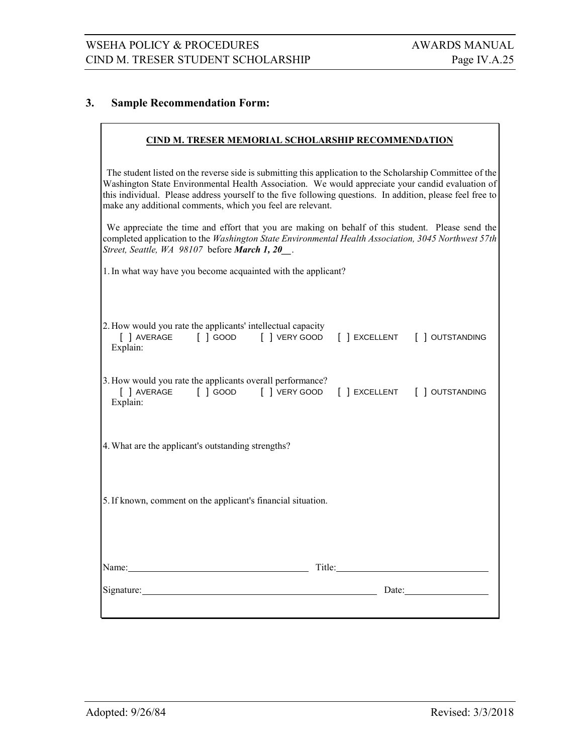#### **3. Sample Recommendation Form:**

#### **CIND M. TRESER MEMORIAL SCHOLARSHIP RECOMMENDATION**

The student listed on the reverse side is submitting this application to the Scholarship Committee of the Washington State Environmental Health Association. We would appreciate your candid evaluation of this individual. Please address yourself to the five following questions. In addition, please feel free to make any additional comments, which you feel are relevant.

We appreciate the time and effort that you are making on behalf of this student. Please send the completed application to the *Washington State Environmental Health Association, 3045 Northwest 57th Street, Seattle, WA 98107* before *March 1, 20\_\_*.

1.In what way have you become acquainted with the applicant?

| 2. How would you rate the applicants' intellectual capacity<br>Explain: |  |       |  |
|-------------------------------------------------------------------------|--|-------|--|
| 3. How would you rate the applicants overall performance?<br>Explain:   |  |       |  |
| 4. What are the applicant's outstanding strengths?                      |  |       |  |
| 5. If known, comment on the applicant's financial situation.            |  |       |  |
|                                                                         |  |       |  |
| Name: Title: Title: Title:                                              |  |       |  |
|                                                                         |  | Date: |  |
|                                                                         |  |       |  |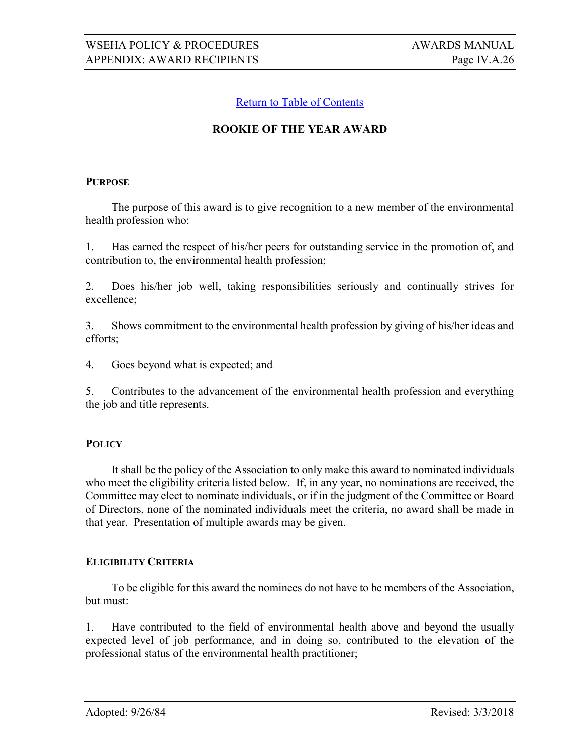# **ROOKIE OF THE YEAR AWARD**

#### <span id="page-25-0"></span>**PURPOSE**

The purpose of this award is to give recognition to a new member of the environmental health profession who:

1. Has earned the respect of his/her peers for outstanding service in the promotion of, and contribution to, the environmental health profession;

2. Does his/her job well, taking responsibilities seriously and continually strives for excellence;

3. Shows commitment to the environmental health profession by giving of his/her ideas and efforts;

4. Goes beyond what is expected; and

5. Contributes to the advancement of the environmental health profession and everything the job and title represents.

#### **POLICY**

It shall be the policy of the Association to only make this award to nominated individuals who meet the eligibility criteria listed below. If, in any year, no nominations are received, the Committee may elect to nominate individuals, or if in the judgment of the Committee or Board of Directors, none of the nominated individuals meet the criteria, no award shall be made in that year. Presentation of multiple awards may be given.

#### **ELIGIBILITY CRITERIA**

To be eligible for this award the nominees do not have to be members of the Association, but must:

1. Have contributed to the field of environmental health above and beyond the usually expected level of job performance, and in doing so, contributed to the elevation of the professional status of the environmental health practitioner;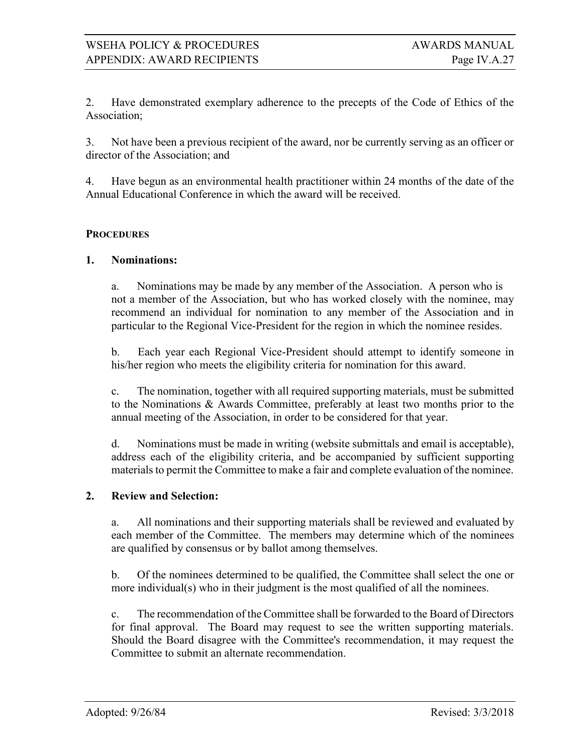2. Have demonstrated exemplary adherence to the precepts of the Code of Ethics of the Association;

3. Not have been a previous recipient of the award, nor be currently serving as an officer or director of the Association; and

4. Have begun as an environmental health practitioner within 24 months of the date of the Annual Educational Conference in which the award will be received.

#### **PROCEDURES**

#### **1. Nominations:**

a. Nominations may be made by any member of the Association. A person who is not a member of the Association, but who has worked closely with the nominee, may recommend an individual for nomination to any member of the Association and in particular to the Regional Vice-President for the region in which the nominee resides.

b. Each year each Regional Vice-President should attempt to identify someone in his/her region who meets the eligibility criteria for nomination for this award.

c. The nomination, together with all required supporting materials, must be submitted to the Nominations & Awards Committee, preferably at least two months prior to the annual meeting of the Association, in order to be considered for that year.

d. Nominations must be made in writing (website submittals and email is acceptable), address each of the eligibility criteria, and be accompanied by sufficient supporting materials to permit the Committee to make a fair and complete evaluation of the nominee.

#### **2. Review and Selection:**

a. All nominations and their supporting materials shall be reviewed and evaluated by each member of the Committee. The members may determine which of the nominees are qualified by consensus or by ballot among themselves.

b. Of the nominees determined to be qualified, the Committee shall select the one or more individual(s) who in their judgment is the most qualified of all the nominees.

c. The recommendation of the Committee shall be forwarded to the Board of Directors for final approval. The Board may request to see the written supporting materials. Should the Board disagree with the Committee's recommendation, it may request the Committee to submit an alternate recommendation.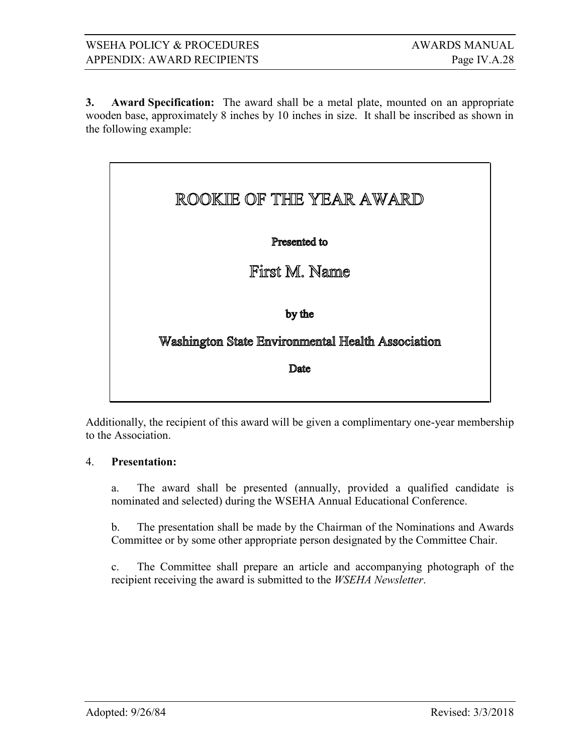**3. Award Specification:** The award shall be a metal plate, mounted on an appropriate wooden base, approximately 8 inches by 10 inches in size. It shall be inscribed as shown in the following example:

# ROOKIE OF THE YEAR AWARD

# Presented to

# First M. Name

by the

# Washington State Environmental Health Association

Date

Additionally, the recipient of this award will be given a complimentary one-year membership to the Association.

#### 4. **Presentation:**

a. The award shall be presented (annually, provided a qualified candidate is nominated and selected) during the WSEHA Annual Educational Conference.

b. The presentation shall be made by the Chairman of the Nominations and Awards Committee or by some other appropriate person designated by the Committee Chair.

c. The Committee shall prepare an article and accompanying photograph of the recipient receiving the award is submitted to the *WSEHA Newsletter*.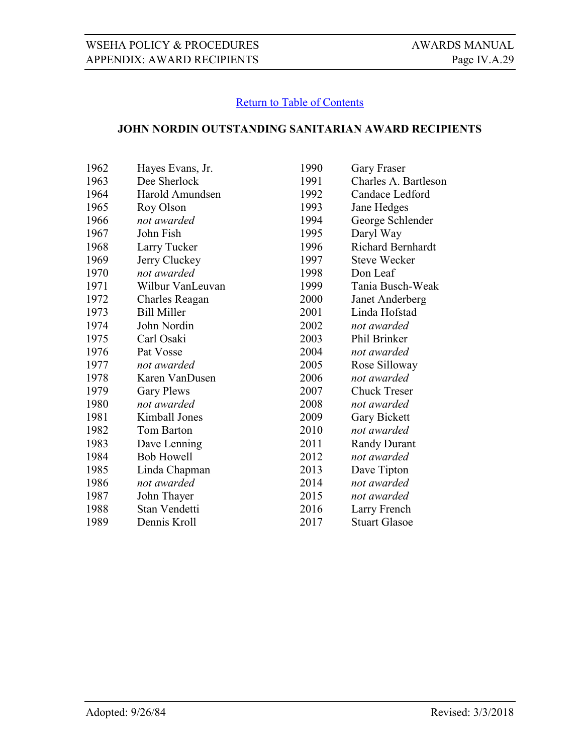# <span id="page-28-0"></span>**JOHN NORDIN OUTSTANDING SANITARIAN AWARD RECIPIENTS**

| 1962 | Hayes Evans, Jr.   | 1990 | <b>Gary Fraser</b>       |
|------|--------------------|------|--------------------------|
| 1963 | Dee Sherlock       | 1991 | Charles A. Bartleson     |
| 1964 | Harold Amundsen    | 1992 | Candace Ledford          |
| 1965 | Roy Olson          | 1993 | Jane Hedges              |
| 1966 | not awarded        | 1994 | George Schlender         |
| 1967 | John Fish          | 1995 | Daryl Way                |
| 1968 | Larry Tucker       | 1996 | <b>Richard Bernhardt</b> |
| 1969 | Jerry Cluckey      | 1997 | <b>Steve Wecker</b>      |
| 1970 | not awarded        | 1998 | Don Leaf                 |
| 1971 | Wilbur VanLeuvan   | 1999 | Tania Busch-Weak         |
| 1972 | Charles Reagan     | 2000 | Janet Anderberg          |
| 1973 | <b>Bill Miller</b> | 2001 | Linda Hofstad            |
| 1974 | John Nordin        | 2002 | not awarded              |
| 1975 | Carl Osaki         | 2003 | Phil Brinker             |
| 1976 | Pat Vosse          | 2004 | not awarded              |
| 1977 | not awarded        | 2005 | Rose Silloway            |
| 1978 | Karen VanDusen     | 2006 | not awarded              |
| 1979 | <b>Gary Plews</b>  | 2007 | <b>Chuck Treser</b>      |
| 1980 | not awarded        | 2008 | not awarded              |
| 1981 | Kimball Jones      | 2009 | Gary Bickett             |
| 1982 | Tom Barton         | 2010 | not awarded              |
| 1983 | Dave Lenning       | 2011 | <b>Randy Durant</b>      |
| 1984 | <b>Bob Howell</b>  | 2012 | not awarded              |
| 1985 | Linda Chapman      | 2013 | Dave Tipton              |
| 1986 | not awarded        | 2014 | not awarded              |
| 1987 | John Thayer        | 2015 | not awarded              |
| 1988 | Stan Vendetti      | 2016 | Larry French             |
| 1989 | Dennis Kroll       | 2017 | <b>Stuart Glasoe</b>     |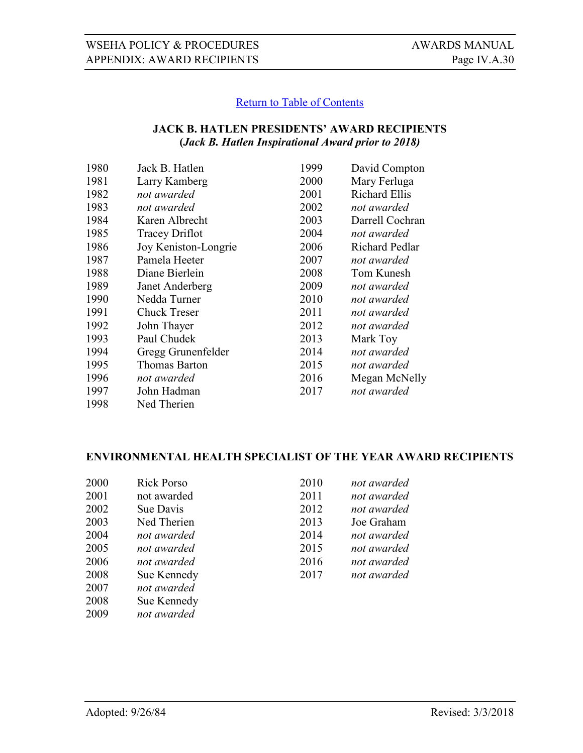# <span id="page-29-0"></span>**JACK B. HATLEN PRESIDENTS' AWARD RECIPIENTS (***Jack B. Hatlen Inspirational Award prior to 2018)*

| 1980 | Jack B. Hatlen        | 1999 | David Compton         |
|------|-----------------------|------|-----------------------|
| 1981 | Larry Kamberg         | 2000 | Mary Ferluga          |
| 1982 | not awarded           | 2001 | <b>Richard Ellis</b>  |
| 1983 | not awarded           | 2002 | not awarded           |
| 1984 | Karen Albrecht        | 2003 | Darrell Cochran       |
| 1985 | <b>Tracey Driflot</b> | 2004 | not awarded           |
| 1986 | Joy Keniston-Longrie  | 2006 | <b>Richard Pedlar</b> |
| 1987 | Pamela Heeter         | 2007 | not awarded           |
| 1988 | Diane Bierlein        | 2008 | Tom Kunesh            |
| 1989 | Janet Anderberg       | 2009 | not awarded           |
| 1990 | Nedda Turner          | 2010 | not awarded           |
| 1991 | <b>Chuck Treser</b>   | 2011 | not awarded           |
| 1992 | John Thayer           | 2012 | not awarded           |
| 1993 | Paul Chudek           | 2013 | Mark Toy              |
| 1994 | Gregg Grunenfelder    | 2014 | not awarded           |
| 1995 | Thomas Barton         | 2015 | not awarded           |
| 1996 | not awarded           | 2016 | Megan McNelly         |
| 1997 | John Hadman           | 2017 | not awarded           |
| 1998 | Ned Therien           |      |                       |

# **ENVIRONMENTAL HEALTH SPECIALIST OF THE YEAR AWARD RECIPIENTS**

| 2000 | <b>Rick Porso</b> | 2010 | not awarded |
|------|-------------------|------|-------------|
| 2001 | not awarded       | 2011 | not awarded |
| 2002 | Sue Davis         | 2012 | not awarded |
| 2003 | Ned Therien       | 2013 | Joe Graham  |
| 2004 | not awarded       | 2014 | not awarded |
| 2005 | not awarded       | 2015 | not awarded |
| 2006 | not awarded       | 2016 | not awarded |
| 2008 | Sue Kennedy       | 2017 | not awarded |
| 2007 | not awarded       |      |             |
| 2008 | Sue Kennedy       |      |             |

*not awarded*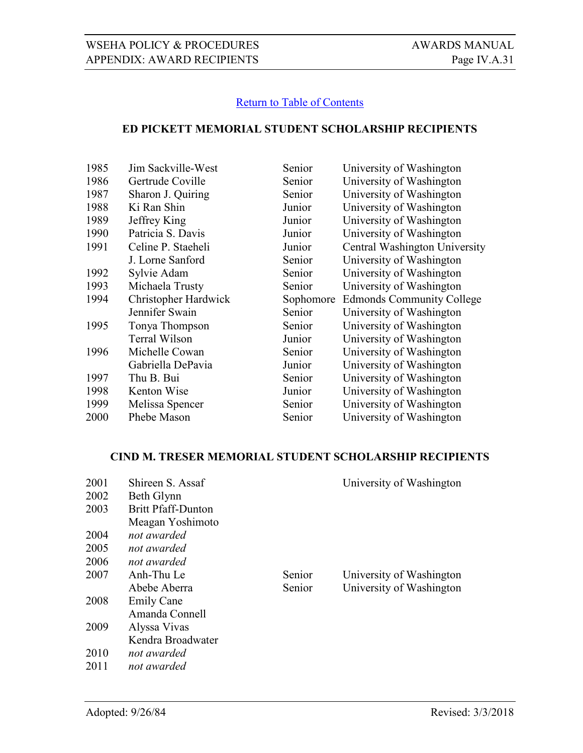#### <span id="page-30-0"></span>**ED PICKETT MEMORIAL STUDENT SCHOLARSHIP RECIPIENTS**

| 1985 | Jim Sackville-West   | Senior    | University of Washington         |
|------|----------------------|-----------|----------------------------------|
| 1986 | Gertrude Coville     | Senior    | University of Washington         |
| 1987 | Sharon J. Quiring    | Senior    | University of Washington         |
| 1988 | Ki Ran Shin          | Junior    | University of Washington         |
| 1989 | Jeffrey King         | Junior    | University of Washington         |
| 1990 | Patricia S. Davis    | Junior    | University of Washington         |
| 1991 | Celine P. Staeheli   | Junior    | Central Washington University    |
|      | J. Lorne Sanford     | Senior    | University of Washington         |
| 1992 | Sylvie Adam          | Senior    | University of Washington         |
| 1993 | Michaela Trusty      | Senior    | University of Washington         |
| 1994 | Christopher Hardwick | Sophomore | <b>Edmonds Community College</b> |
|      | Jennifer Swain       | Senior    | University of Washington         |
| 1995 | Tonya Thompson       | Senior    | University of Washington         |
|      | Terral Wilson        | Junior    | University of Washington         |
| 1996 | Michelle Cowan       | Senior    | University of Washington         |
|      | Gabriella DePavia    | Junior    | University of Washington         |
| 1997 | Thu B. Bui           | Senior    | University of Washington         |
| 1998 | Kenton Wise          | Junior    | University of Washington         |
| 1999 |                      |           |                                  |
|      | Melissa Spencer      | Senior    | University of Washington         |
| 2000 | Phebe Mason          | Senior    | University of Washington         |

# **CIND M. TRESER MEMORIAL STUDENT SCHOLARSHIP RECIPIENTS**

<span id="page-30-1"></span>

| 2001 | Shireen S. Assaf          |        | University of Washington |
|------|---------------------------|--------|--------------------------|
| 2002 | Beth Glynn                |        |                          |
| 2003 | <b>Britt Pfaff-Dunton</b> |        |                          |
|      | Meagan Yoshimoto          |        |                          |
| 2004 | not awarded               |        |                          |
| 2005 | not awarded               |        |                          |
| 2006 | not awarded               |        |                          |
| 2007 | Anh-Thu Le                | Senior | University of Washington |
|      | Abebe Aberra              | Senior | University of Washington |
| 2008 | <b>Emily Cane</b>         |        |                          |
|      | Amanda Connell            |        |                          |
| 2009 | Alyssa Vivas              |        |                          |
|      | Kendra Broadwater         |        |                          |
| 2010 | not awarded               |        |                          |
| 2011 | not awarded               |        |                          |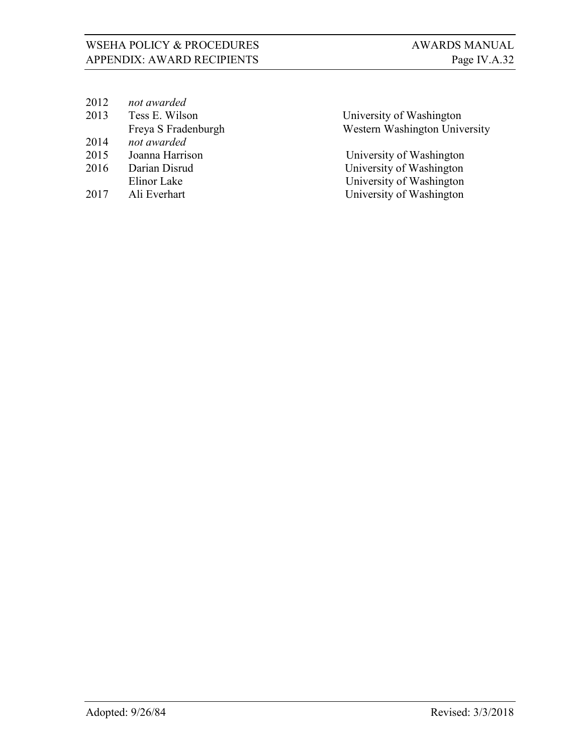| 2012 | not awarded         |                               |
|------|---------------------|-------------------------------|
| 2013 | Tess E. Wilson      | University of Washington      |
|      | Freya S Fradenburgh | Western Washington University |
| 2014 | not awarded         |                               |
| 2015 | Joanna Harrison     | University of Washington      |
| 2016 | Darian Disrud       | University of Washington      |
|      | Elinor Lake         | University of Washington      |
| 2017 | Ali Everhart        | University of Washington      |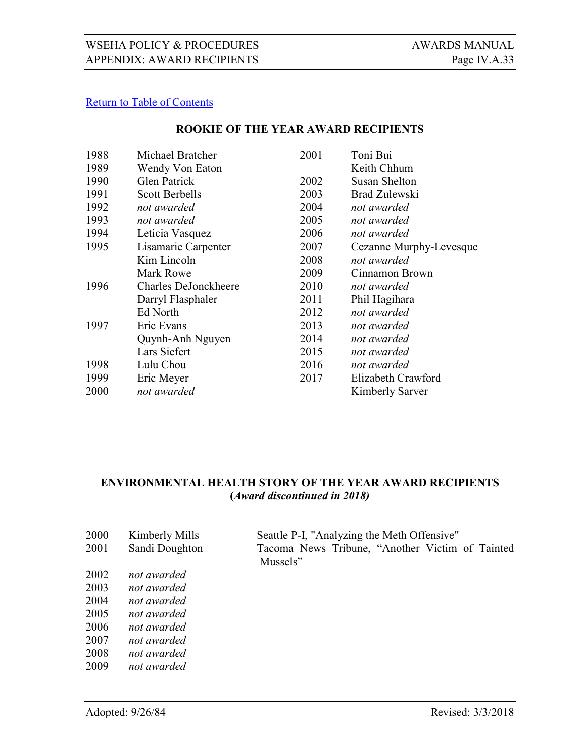#### **ROOKIE OF THE YEAR AWARD RECIPIENTS**

<span id="page-32-1"></span>

| 1988 | Michael Bratcher            | 2001 | Toni Bui                |
|------|-----------------------------|------|-------------------------|
| 1989 | Wendy Von Eaton             |      | Keith Chhum             |
| 1990 | <b>Glen Patrick</b>         | 2002 | Susan Shelton           |
| 1991 | <b>Scott Berbells</b>       | 2003 | <b>Brad Zulewski</b>    |
| 1992 | not awarded                 | 2004 | not awarded             |
| 1993 | not awarded                 | 2005 | not awarded             |
| 1994 | Leticia Vasquez             | 2006 | not awarded             |
| 1995 | Lisamarie Carpenter         | 2007 | Cezanne Murphy-Levesque |
|      | Kim Lincoln                 | 2008 | not awarded             |
|      | Mark Rowe                   | 2009 | Cinnamon Brown          |
| 1996 | <b>Charles DeJonckheere</b> | 2010 | not awarded             |
|      | Darryl Flasphaler           | 2011 | Phil Hagihara           |
|      | Ed North                    | 2012 | not awarded             |
| 1997 | Eric Evans                  | 2013 | not awarded             |
|      | Quynh-Anh Nguyen            | 2014 | not awarded             |
|      | Lars Siefert                | 2015 | not awarded             |
| 1998 | Lulu Chou                   | 2016 | not awarded             |
| 1999 | Eric Meyer                  | 2017 | Elizabeth Crawford      |
| 2000 | not awarded                 |      | <b>Kimberly Sarver</b>  |

# <span id="page-32-0"></span>**ENVIRONMENTAL HEALTH STORY OF THE YEAR AWARD RECIPIENTS (***Award discontinued in 2018)*

| 2000 | Kimberly Mills | Seattle P-I, "Analyzing the Meth Offensive"                 |  |  |  |  |  |  |
|------|----------------|-------------------------------------------------------------|--|--|--|--|--|--|
| 2001 | Sandi Doughton | Tacoma News Tribune, "Another Victim of Tainted<br>Mussels" |  |  |  |  |  |  |
| 2002 | not awarded    |                                                             |  |  |  |  |  |  |
| 2003 | not awarded    |                                                             |  |  |  |  |  |  |
| 2004 | not awarded    |                                                             |  |  |  |  |  |  |
| 2005 | not awarded    |                                                             |  |  |  |  |  |  |
| 2006 | not awarded    |                                                             |  |  |  |  |  |  |
| 2007 | not awarded    |                                                             |  |  |  |  |  |  |
| 2008 | not awarded    |                                                             |  |  |  |  |  |  |
| 2009 | not awarded    |                                                             |  |  |  |  |  |  |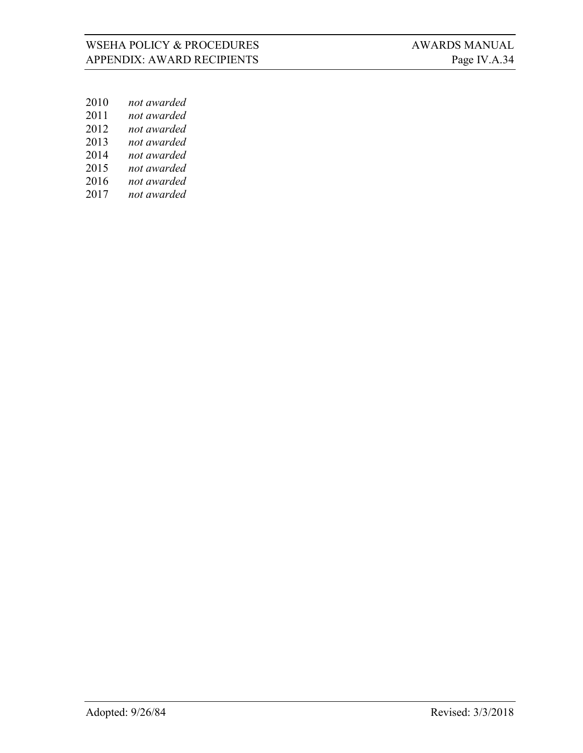- *not awarded*
- *not awarded*
- *not awarded*
- *not awarded*
- *not awarded*
- *not awarded*
- *not awarded*
- *not awarded*